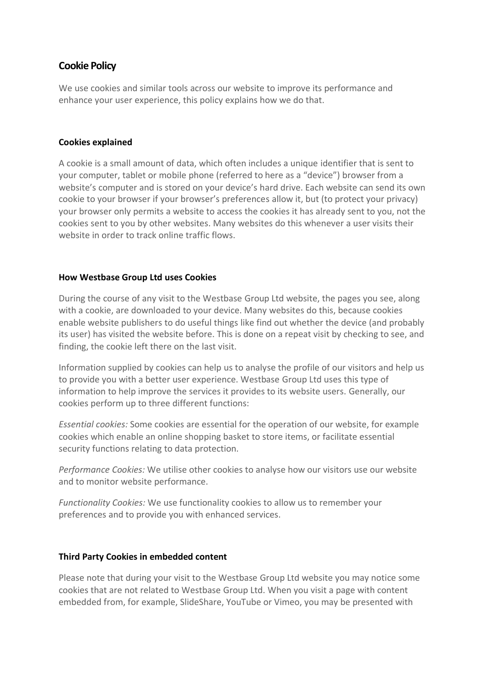# **Cookie Policy**

We use cookies and similar tools across our website to improve its performance and enhance your user experience, this policy explains how we do that.

# **Cookies explained**

A cookie is a small amount of data, which often includes a unique identifier that is sent to your computer, tablet or mobile phone (referred to here as a "device") browser from a website's computer and is stored on your device's hard drive. Each website can send its own cookie to your browser if your browser's preferences allow it, but (to protect your privacy) your browser only permits a website to access the cookies it has already sent to you, not the cookies sent to you by other websites. Many websites do this whenever a user visits their website in order to track online traffic flows.

# **How Westbase Group Ltd uses Cookies**

During the course of any visit to the Westbase Group Ltd website, the pages you see, along with a cookie, are downloaded to your device. Many websites do this, because cookies enable website publishers to do useful things like find out whether the device (and probably its user) has visited the website before. This is done on a repeat visit by checking to see, and finding, the cookie left there on the last visit.

Information supplied by cookies can help us to analyse the profile of our visitors and help us to provide you with a better user experience. Westbase Group Ltd uses this type of information to help improve the services it provides to its website users. Generally, our cookies perform up to three different functions:

*Essential cookies:* Some cookies are essential for the operation of our website, for example cookies which enable an online shopping basket to store items, or facilitate essential security functions relating to data protection.

*Performance Cookies:* We utilise other cookies to analyse how our visitors use our website and to monitor website performance.

*Functionality Cookies:* We use functionality cookies to allow us to remember your preferences and to provide you with enhanced services.

# **Third Party Cookies in embedded content**

Please note that during your visit to the Westbase Group Ltd website you may notice some cookies that are not related to Westbase Group Ltd. When you visit a page with content embedded from, for example, SlideShare, YouTube or Vimeo, you may be presented with